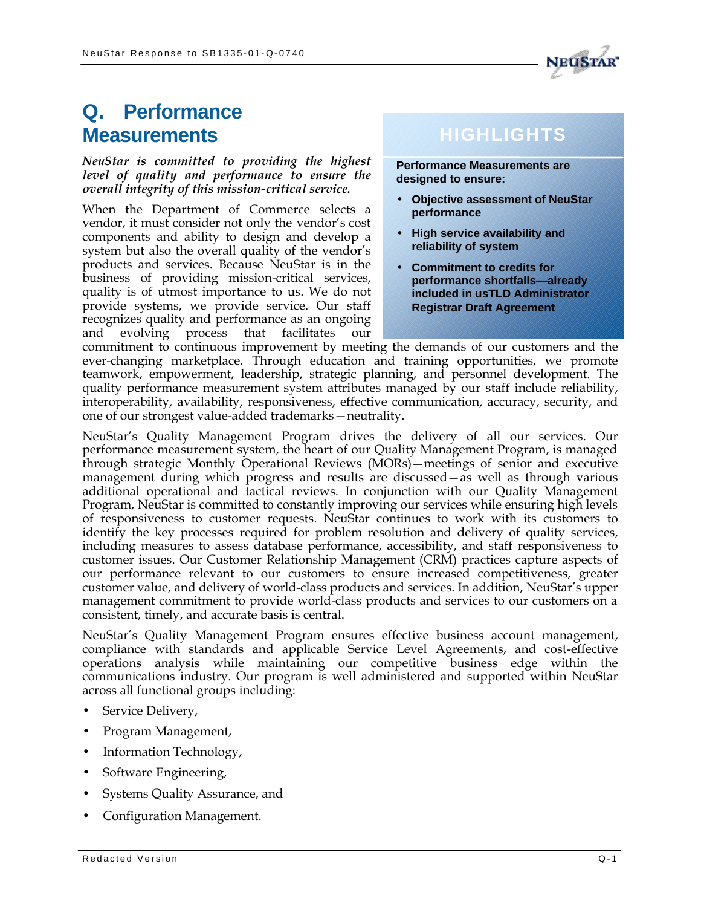

## **Q. Performance Measurements**

*NeuStar is committed to providing the highest level of quality and performance to ensure the overall integrity of this mission-critical service.*

When the Department of Commerce selects a vendor, it must consider not only the vendor's cost components and ability to design and develop a system but also the overall quality of the vendor's products and services. Because NeuStar is in the business of providing mission-critical services, quality is of utmost importance to us. We do not provide systems, we provide service. Our staff recognizes quality and performance as an ongoing and evolving process that facilitates our

## **HIGHLIGHTS**

**Performance Measurements are designed to ensure:**

- **Objective assessment of NeuStar performance**
- **High service availability and reliability of system**
- **Commitment to credits for performance shortfalls—already included in usTLD Administrator Registrar Draft Agreement**

commitment to continuous improvement by meeting the demands of our customers and the ever-changing marketplace. Through education and training opportunities, we promote teamwork, empowerment, leadership, strategic planning, and personnel development. The quality performance measurement system attributes managed by our staff include reliability, interoperability, availability, responsiveness, effective communication, accuracy, security, and one of our strongest value-added trademarks—neutrality.

NeuStar's Quality Management Program drives the delivery of all our services. Our performance measurement system, the heart of our Quality Management Program, is managed through strategic Monthly Operational Reviews (MORs)—meetings of senior and executive management during which progress and results are discussed—as well as through various additional operational and tactical reviews. In conjunction with our Quality Management Program, NeuStar is committed to constantly improving our services while ensuring high levels of responsiveness to customer requests. NeuStar continues to work with its customers to identify the key processes required for problem resolution and delivery of quality services, including measures to assess database performance, accessibility, and staff responsiveness to customer issues. Our Customer Relationship Management (CRM) practices capture aspects of our performance relevant to our customers to ensure increased competitiveness, greater customer value, and delivery of world-class products and services. In addition, NeuStar's upper management commitment to provide world-class products and services to our customers on a consistent, timely, and accurate basis is central.

NeuStar's Quality Management Program ensures effective business account management, compliance with standards and applicable Service Level Agreements, and cost-effective operations analysis while maintaining our competitive business edge within the communications industry. Our program is well administered and supported within NeuStar across all functional groups including:

- Service Delivery,
- Program Management,
- Information Technology,
- Software Engineering,
- Systems Quality Assurance, and
- Configuration Management.